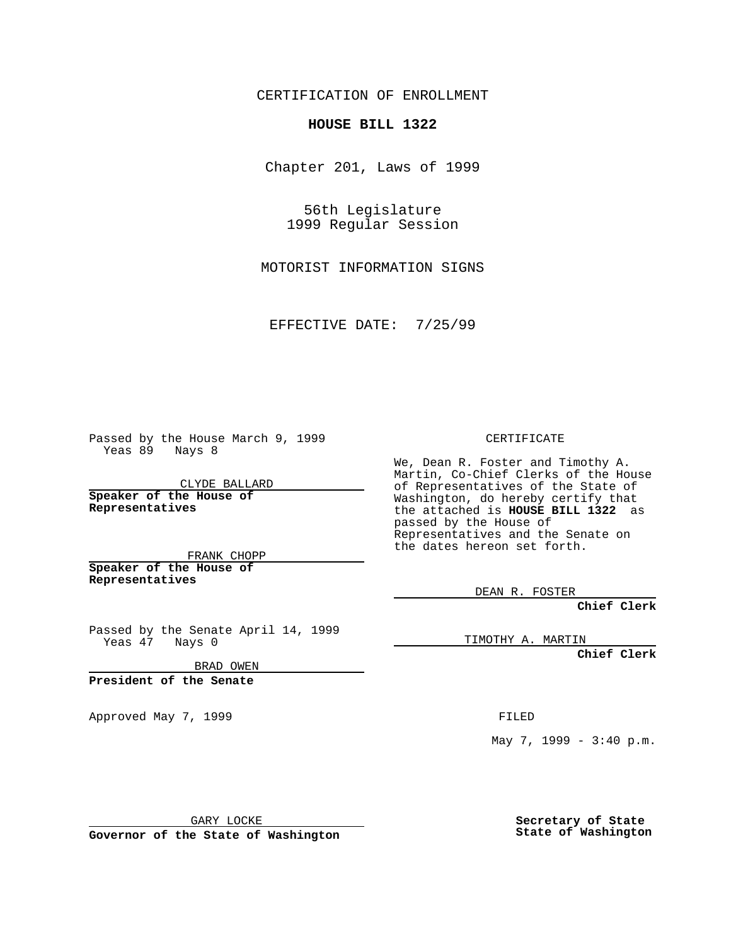CERTIFICATION OF ENROLLMENT

## **HOUSE BILL 1322**

Chapter 201, Laws of 1999

56th Legislature 1999 Regular Session

MOTORIST INFORMATION SIGNS

EFFECTIVE DATE: 7/25/99

Passed by the House March 9, 1999 Yeas 89 Nays 8

CLYDE BALLARD **Speaker of the House of Representatives**

FRANK CHOPP **Speaker of the House of Representatives**

Passed by the Senate April 14, 1999

Yeas 47 Nays 0

BRAD OWEN

**President of the Senate**

Approved May 7, 1999 **FILED** 

CERTIFICATE

We, Dean R. Foster and Timothy A. Martin, Co-Chief Clerks of the House of Representatives of the State of Washington, do hereby certify that the attached is **HOUSE BILL 1322** as passed by the House of Representatives and the Senate on the dates hereon set forth.

DEAN R. FOSTER

**Chief Clerk**

TIMOTHY A. MARTIN

**Chief Clerk**

May 7, 1999 - 3:40 p.m.

GARY LOCKE

**Governor of the State of Washington**

**Secretary of State State of Washington**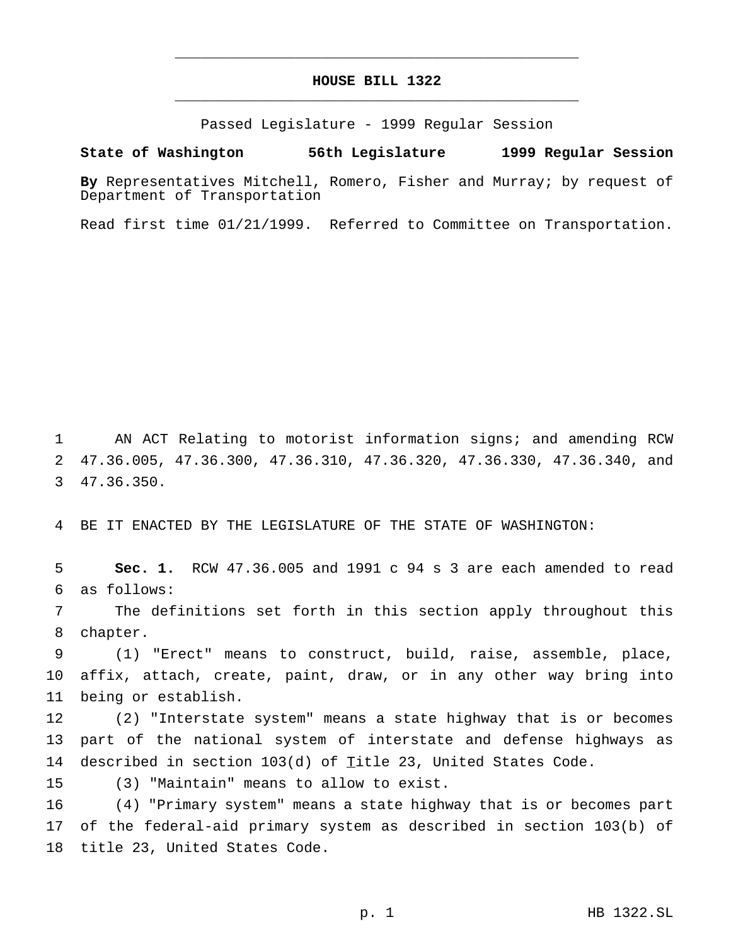## **HOUSE BILL 1322** \_\_\_\_\_\_\_\_\_\_\_\_\_\_\_\_\_\_\_\_\_\_\_\_\_\_\_\_\_\_\_\_\_\_\_\_\_\_\_\_\_\_\_\_\_\_\_

\_\_\_\_\_\_\_\_\_\_\_\_\_\_\_\_\_\_\_\_\_\_\_\_\_\_\_\_\_\_\_\_\_\_\_\_\_\_\_\_\_\_\_\_\_\_\_

Passed Legislature - 1999 Regular Session

## **State of Washington 56th Legislature 1999 Regular Session**

**By** Representatives Mitchell, Romero, Fisher and Murray; by request of Department of Transportation

Read first time 01/21/1999. Referred to Committee on Transportation.

 AN ACT Relating to motorist information signs; and amending RCW 47.36.005, 47.36.300, 47.36.310, 47.36.320, 47.36.330, 47.36.340, and 47.36.350.

BE IT ENACTED BY THE LEGISLATURE OF THE STATE OF WASHINGTON:

 **Sec. 1.** RCW 47.36.005 and 1991 c 94 s 3 are each amended to read as follows:

 The definitions set forth in this section apply throughout this chapter.

 (1) "Erect" means to construct, build, raise, assemble, place, affix, attach, create, paint, draw, or in any other way bring into being or establish.

 (2) "Interstate system" means a state highway that is or becomes part of the national system of interstate and defense highways as 14 described in section 103(d) of Title 23, United States Code.

(3) "Maintain" means to allow to exist.

 (4) "Primary system" means a state highway that is or becomes part of the federal-aid primary system as described in section 103(b) of title 23, United States Code.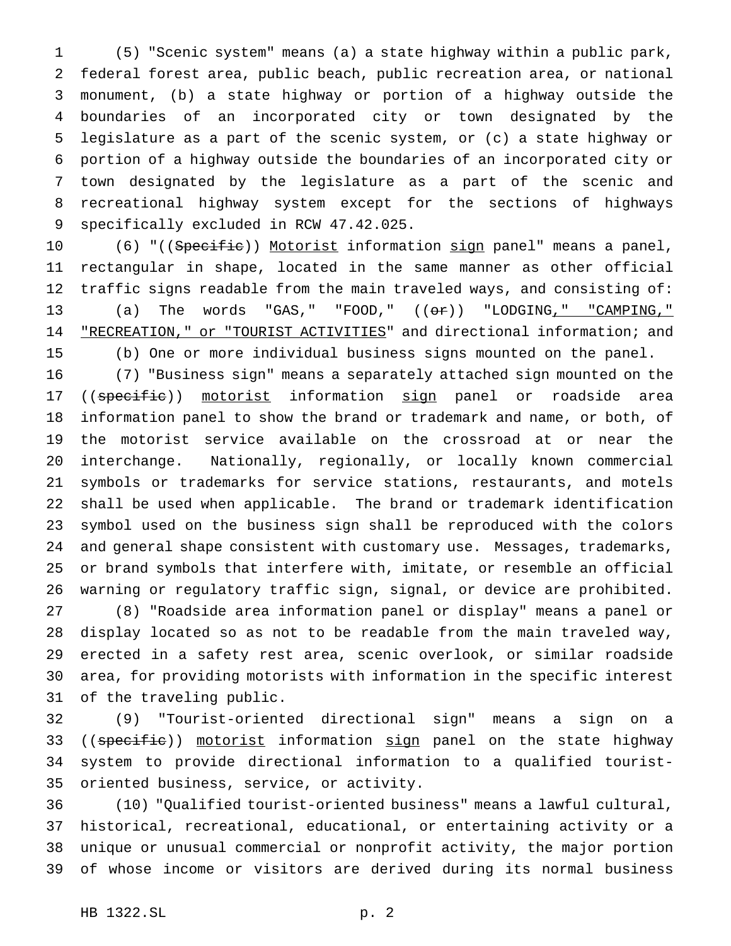(5) "Scenic system" means (a) a state highway within a public park, federal forest area, public beach, public recreation area, or national monument, (b) a state highway or portion of a highway outside the boundaries of an incorporated city or town designated by the legislature as a part of the scenic system, or (c) a state highway or portion of a highway outside the boundaries of an incorporated city or town designated by the legislature as a part of the scenic and recreational highway system except for the sections of highways specifically excluded in RCW 47.42.025.

10 (6) "((Specific)) Motorist information sign panel" means a panel, rectangular in shape, located in the same manner as other official traffic signs readable from the main traveled ways, and consisting of: (a) The words "GAS," "FOOD," ((or)) "LODGING," "CAMPING," 14 "RECREATION," or "TOURIST ACTIVITIES" and directional information; and (b) One or more individual business signs mounted on the panel.

 (7) "Business sign" means a separately attached sign mounted on the 17 ((specific)) motorist information sign panel or roadside area information panel to show the brand or trademark and name, or both, of the motorist service available on the crossroad at or near the interchange. Nationally, regionally, or locally known commercial symbols or trademarks for service stations, restaurants, and motels shall be used when applicable. The brand or trademark identification symbol used on the business sign shall be reproduced with the colors and general shape consistent with customary use. Messages, trademarks, or brand symbols that interfere with, imitate, or resemble an official warning or regulatory traffic sign, signal, or device are prohibited. (8) "Roadside area information panel or display" means a panel or display located so as not to be readable from the main traveled way, erected in a safety rest area, scenic overlook, or similar roadside area, for providing motorists with information in the specific interest of the traveling public.

 (9) "Tourist-oriented directional sign" means a sign on a 33 ((specific)) motorist information sign panel on the state highway system to provide directional information to a qualified tourist-oriented business, service, or activity.

 (10) "Qualified tourist-oriented business" means a lawful cultural, historical, recreational, educational, or entertaining activity or a unique or unusual commercial or nonprofit activity, the major portion of whose income or visitors are derived during its normal business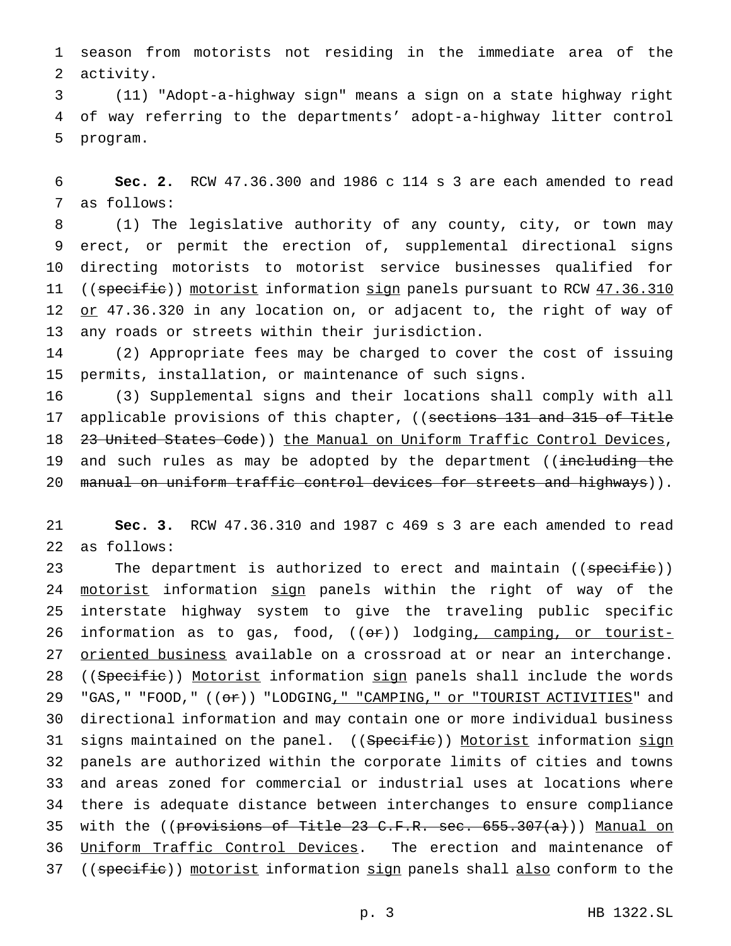1 season from motorists not residing in the immediate area of the 2 activity.

3 (11) "Adopt-a-highway sign" means a sign on a state highway right 4 of way referring to the departments' adopt-a-highway litter control 5 program.

6 **Sec. 2.** RCW 47.36.300 and 1986 c 114 s 3 are each amended to read 7 as follows:

 (1) The legislative authority of any county, city, or town may erect, or permit the erection of, supplemental directional signs directing motorists to motorist service businesses qualified for 11 ((specific)) motorist information sign panels pursuant to RCW 47.36.310 12 or 47.36.320 in any location on, or adjacent to, the right of way of any roads or streets within their jurisdiction.

14 (2) Appropriate fees may be charged to cover the cost of issuing 15 permits, installation, or maintenance of such signs.

16 (3) Supplemental signs and their locations shall comply with all 17 applicable provisions of this chapter, ((sections 131 and 315 of Title 18 23 United States Code)) the Manual on Uniform Traffic Control Devices, 19 and such rules as may be adopted by the department ((including the 20 manual on uniform traffic control devices for streets and highways)).

21 **Sec. 3.** RCW 47.36.310 and 1987 c 469 s 3 are each amended to read 22 as follows:

23 The department is authorized to erect and maintain ((specific)) 24 motorist information sign panels within the right of way of the 25 interstate highway system to give the traveling public specific 26 information as to gas, food, ((or)) lodging, camping, or tourist-27 oriented business available on a crossroad at or near an interchange. 28 ((Specific)) Motorist information sign panels shall include the words 29 "GAS, " "FOOD, "  $((e^*)$  "LODGING, " "CAMPING, " or "TOURIST ACTIVITIES" and 30 directional information and may contain one or more individual business 31 signs maintained on the panel. ((Specific)) Motorist information sign 32 panels are authorized within the corporate limits of cities and towns 33 and areas zoned for commercial or industrial uses at locations where 34 there is adequate distance between interchanges to ensure compliance 35 with the ((provisions of Title 23 C.F.R. sec. 655.307(a))) Manual on 36 Uniform Traffic Control Devices. The erection and maintenance of 37 ((specific)) motorist information sign panels shall also conform to the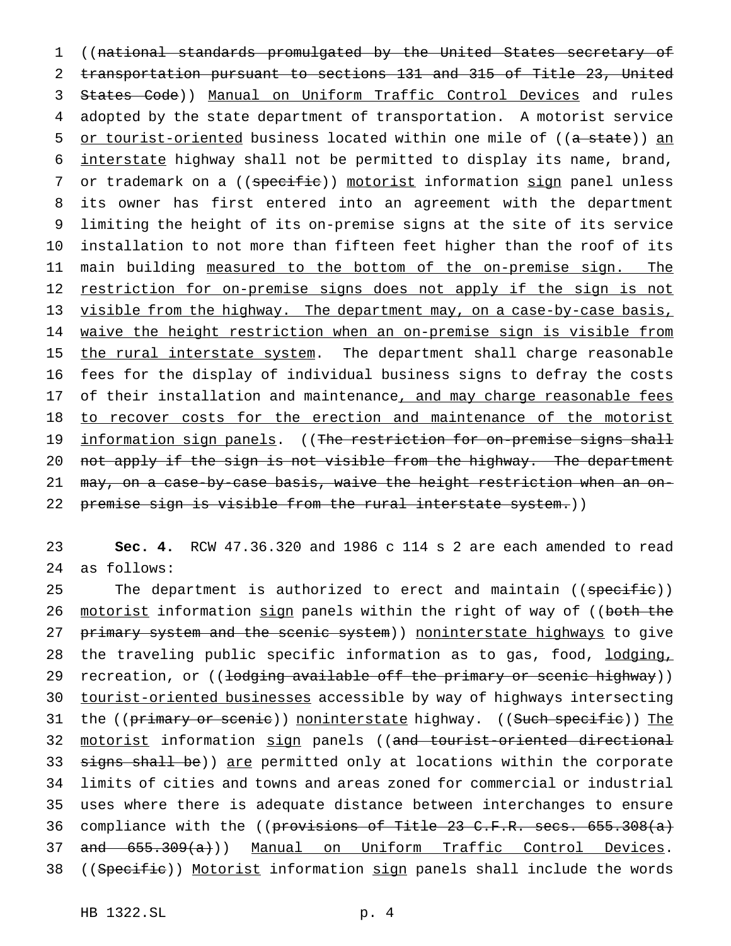1 ((national standards promulgated by the United States secretary of 2 transportation pursuant to sections 131 and 315 of Title 23, United 3 States Code)) Manual on Uniform Traffic Control Devices and rules 4 adopted by the state department of transportation. A motorist service 5 or tourist-oriented business located within one mile of ((a state)) an 6 interstate highway shall not be permitted to display its name, brand, 7 or trademark on a ((specific)) motorist information sign panel unless 8 its owner has first entered into an agreement with the department 9 limiting the height of its on-premise signs at the site of its service 10 installation to not more than fifteen feet higher than the roof of its 11 main building measured to the bottom of the on-premise sign. The 12 restriction for on-premise signs does not apply if the sign is not 13 visible from the highway. The department may, on a case-by-case basis, 14 waive the height restriction when an on-premise sign is visible from 15 the rural interstate system. The department shall charge reasonable 16 fees for the display of individual business signs to defray the costs 17 of their installation and maintenance, and may charge reasonable fees 18 to recover costs for the erection and maintenance of the motorist 19 information sign panels. ((The restriction for on-premise signs shall 20 not apply if the sign is not visible from the highway. The department 21 may, on a case-by-case basis, waive the height restriction when an on-22 premise sign is visible from the rural interstate system.))

23 **Sec. 4.** RCW 47.36.320 and 1986 c 114 s 2 are each amended to read 24 as follows:

25 The department is authorized to erect and maintain ((specific)) 26 motorist information sign panels within the right of way of ((both the 27 primary system and the scenic system)) noninterstate highways to give 28 the traveling public specific information as to gas, food, lodging, 29 recreation, or ((lodging available off the primary or scenic highway)) 30 tourist-oriented businesses accessible by way of highways intersecting 31 the ((primary or scenic)) noninterstate highway. ((Such specific)) The 32 motorist information sign panels ((and tourist-oriented directional 33 signs shall be)) are permitted only at locations within the corporate 34 limits of cities and towns and areas zoned for commercial or industrial 35 uses where there is adequate distance between interchanges to ensure 36 compliance with the ((provisions of Title 23 C.F.R. secs. 655.308(a) 37 and 655.309(a))) Manual on Uniform Traffic Control Devices. 38 ((Specific)) Motorist information sign panels shall include the words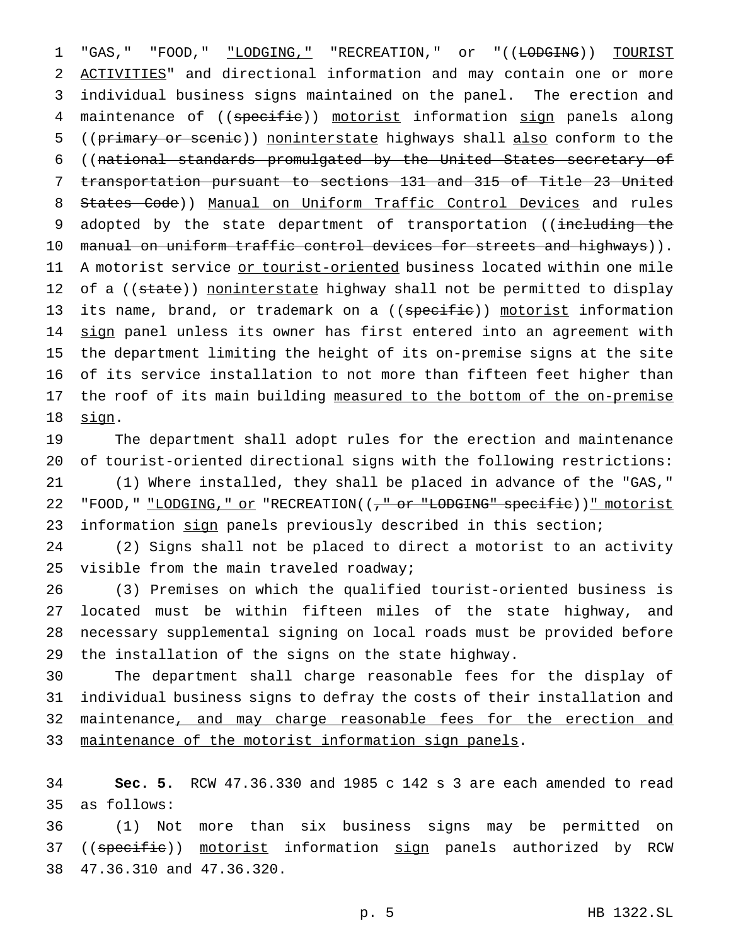1 "GAS, " "FOOD, " "LODGING, " "RECREATION, " or "((LODGING)) TOURIST 2 ACTIVITIES" and directional information and may contain one or more 3 individual business signs maintained on the panel. The erection and 4 maintenance of ((specific)) motorist information sign panels along 5 ((primary or scenic)) noninterstate highways shall also conform to the 6 ((national standards promulgated by the United States secretary of 7 transportation pursuant to sections 131 and 315 of Title 23 United 8 States Code)) Manual on Uniform Traffic Control Devices and rules 9 adopted by the state department of transportation ((including the 10 manual on uniform traffic control devices for streets and highways)). 11 A motorist service or tourist-oriented business located within one mile 12 of a ((state)) noninterstate highway shall not be permitted to display 13 its name, brand, or trademark on a ((specific)) motorist information 14 sign panel unless its owner has first entered into an agreement with 15 the department limiting the height of its on-premise signs at the site 16 of its service installation to not more than fifteen feet higher than 17 the roof of its main building measured to the bottom of the on-premise 18 sign.

19 The department shall adopt rules for the erection and maintenance 20 of tourist-oriented directional signs with the following restrictions: 21 (1) Where installed, they shall be placed in advance of the "GAS," 22 "FOOD," "LODGING," or "RECREATION(( $\frac{1}{f}$  or "LODGING" specific))" motorist 23 information sign panels previously described in this section;

24 (2) Signs shall not be placed to direct a motorist to an activity 25 visible from the main traveled roadway;

 (3) Premises on which the qualified tourist-oriented business is located must be within fifteen miles of the state highway, and necessary supplemental signing on local roads must be provided before the installation of the signs on the state highway.

30 The department shall charge reasonable fees for the display of 31 individual business signs to defray the costs of their installation and 32 maintenance, and may charge reasonable fees for the erection and 33 maintenance of the motorist information sign panels.

34 **Sec. 5.** RCW 47.36.330 and 1985 c 142 s 3 are each amended to read 35 as follows:

36 (1) Not more than six business signs may be permitted on 37 ((specific)) motorist information sign panels authorized by RCW 38 47.36.310 and 47.36.320.